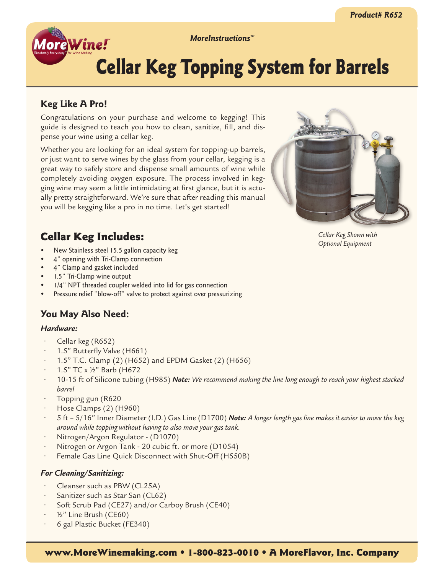*MoreInstructions™*

# Cellar Keg Topping System for Barrels

# **Keg Like A Pro!**

**AoreWine!** 

Congratulations on your purchase and welcome to kegging! This guide is designed to teach you how to clean, sanitize, fill, and dispense your wine using a cellar keg.

Whether you are looking for an ideal system for topping-up barrels, or just want to serve wines by the glass from your cellar, kegging is a great way to safely store and dispense small amounts of wine while completely avoiding oxygen exposure. The process involved in kegging wine may seem a little intimidating at first glance, but it is actually pretty straightforward. We're sure that after reading this manual you will be kegging like a pro in no time. Let's get started!



*Cellar Keg Shown with Optional Equipment*

# Cellar Keg Includes:

- New Stainless steel 15.5 gallon capacity keg
- 4" opening with Tri-Clamp connection
- 4" Clamp and gasket included
- 1.5" Tri-Clamp wine output
- $1/4$ " NPT threaded coupler welded into lid for gas connection
- Pressure relief "blow-off" valve to protect against over pressurizing

# **You May Also Need:**

## *Hardware:*

- • Cellar keg (R652)
- 1.5" Butterfly Valve (H661)
- 1.5" T.C. Clamp (2) (H652) and EPDM Gasket (2) (H656)
- 1.5" TC x 1/2" Barb (H672
- 10-15 ft of Silicone tubing (H985) **Note:** We recommend making the line long enough to reach your highest stacked *barrel*
- Topping gun (R620
- Hose Clamps  $(2)$  (H960)
- 5 ft 5/16" Inner Diameter (I.D.) Gas Line (D1700) **Note:** A longer length gas line makes it easier to move the keg *around while topping without having to also move your gas tank.*
- Nitrogen/Argon Regulator (D1070)
- Nitrogen or Argon Tank 20 cubic ft. or more (D1054)
- Female Gas Line Quick Disconnect with Shut-Off (H550B)

# *For Cleaning/Sanitizing:*

- Cleanser such as PBW (CL25A)
- Sanitizer such as Star San (CL62)
- Soft Scrub Pad (CE27) and/or Carboy Brush (CE40)
- $1/2$ " Line Brush (CE60)
- 6 gal Plastic Bucket (FE340)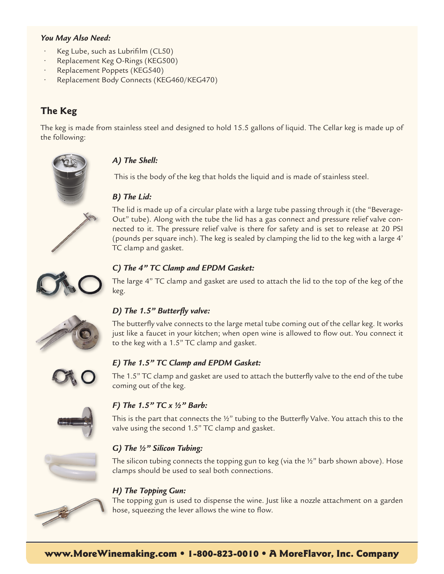### *You May Also Need:*

- Keg Lube, such as Lubrifilm (CL50)
- Replacement Keg O-Rings (KEG500)
- Replacement Poppets (KEG540)
- Replacement Body Connects (KEG460/KEG470)

# **The Keg**

The keg is made from stainless steel and designed to hold 15.5 gallons of liquid. The Cellar keg is made up of the following:



# *A) The Shell:*

This is the body of the keg that holds the liquid and is made of stainless steel.

# *B) The Lid:*

The lid is made up of a circular plate with a large tube passing through it (the "Beverage-Out" tube). Along with the tube the lid has a gas connect and pressure relief valve connected to it. The pressure relief valve is there for safety and is set to release at 20 PSI (pounds per square inch). The keg is sealed by clamping the lid to the keg with a large 4' TC clamp and gasket.



## *C) The 4" TC Clamp and EPDM Gasket:*

The large 4" TC clamp and gasket are used to attach the lid to the top of the keg of the keg.



# *D) The 1.5" Butterfly valve:*

The butterfly valve connects to the large metal tube coming out of the cellar keg. It works just like a faucet in your kitchen; when open wine is allowed to flow out. You connect it to the keg with a 1.5" TC clamp and gasket.



## *E) The 1.5" TC Clamp and EPDM Gasket:*

The 1.5" TC clamp and gasket are used to attach the butterfly valve to the end of the tube coming out of the keg.



## *F) The 1.5" TC x ½" Barb:*

This is the part that connects the ½" tubing to the Butterfly Valve. You attach this to the valve using the second 1.5" TC clamp and gasket.

## *G) The ½" Silicon Tubing:*

The silicon tubing connects the topping gun to keg (via the ½" barb shown above). Hose clamps should be used to seal both connections.

## *H) The Topping Gun:*

The topping gun is used to dispense the wine. Just like a nozzle attachment on a garden hose, squeezing the lever allows the wine to flow.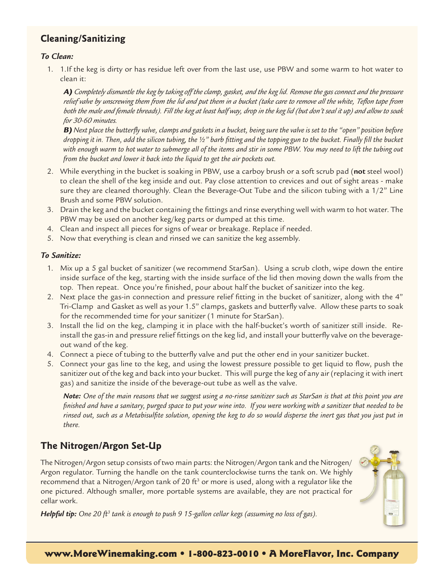# **Cleaning/Sanitizing**

#### *To Clean:*

1. 1.If the keg is dirty or has residue left over from the last use, use PBW and some warm to hot water to clean it:

A) *Completely dismantle the keg by taking off the clamp, gasket, and the keg lid. Remove the gas connect and the pressure relief valve by unscrewing them from the lid and put them in a bucket (take care to remove all the white, Teflon tape from both the male and female threads). Fill the keg at least half way, drop in the keg lid (but don't seal it up) and allow to soak for 30-60 minutes.*

B) *Next place the butterfly valve, clamps and gaskets in a bucket, being sure the valve is set to the "open" position before dropping it in. Then, add the silicon tubing, the ½" barb fitting and the topping gun to the bucket. Finally fill the bucket with enough warm to hot water to submerge all of the items and stir in some PBW. You may need to lift the tubing out from the bucket and lower it back into the liquid to get the air pockets out.*

- 2. While everything in the bucket is soaking in PBW, use a carboy brush or a soft scrub pad (**not** steel wool) to clean the shell of the keg inside and out. Pay close attention to crevices and out of sight areas - make sure they are cleaned thoroughly. Clean the Beverage-Out Tube and the silicon tubing with a 1/2" Line Brush and some PBW solution.
- 3. Drain the keg and the bucket containing the fittings and rinse everything well with warm to hot water. The PBW may be used on another keg/keg parts or dumped at this time.
- 4. Clean and inspect all pieces for signs of wear or breakage. Replace if needed.
- 5. Now that everything is clean and rinsed we can sanitize the keg assembly.

#### *To Sanitize:*

- 1. Mix up a 5 gal bucket of sanitizer (we recommend StarSan). Using a scrub cloth, wipe down the entire inside surface of the keg, starting with the inside surface of the lid then moving down the walls from the top. Then repeat. Once you're finished, pour about half the bucket of sanitizer into the keg.
- 2. Next place the gas-in connection and pressure relief fitting in the bucket of sanitizer, along with the 4" Tri-Clamp and Gasket as well as your 1.5" clamps, gaskets and butterfly valve. Allow these parts to soak for the recommended time for your sanitizer (1 minute for StarSan).
- 3. Install the lid on the keg, clamping it in place with the half-bucket's worth of sanitizer still inside. Reinstall the gas-in and pressure relief fittings on the keg lid, and install your butterfly valve on the beverageout wand of the keg.
- 4. Connect a piece of tubing to the butterfly valve and put the other end in your sanitizer bucket.
- 5. Connect your gas line to the keg, and using the lowest pressure possible to get liquid to flow, push the sanitizer out of the keg and back into your bucket. This will purge the keg of any air (replacing it with inert gas) and sanitize the inside of the beverage-out tube as well as the valve.

*Note: One of the main reasons that we suggest using a no-rinse sanitizer such as StarSan is that at this point you are finished and have a sanitary, purged space to put your wine into. If you were working with a sanitizer that needed to be rinsed out, such as a Metabisulfite solution, opening the keg to do so would disperse the inert gas that you just put in there.*

# **The Nitrogen/Argon Set-Up**

The Nitrogen/Argon setup consists of two main parts: the Nitrogen/Argon tank and the Nitrogen/ Argon regulator. Turning the handle on the tank counterclockwise turns the tank on. We highly recommend that a Nitrogen/Argon tank of 20 ft<sup>3</sup> or more is used, along with a regulator like the one pictured. Although smaller, more portable systems are available, they are not practical for cellar work.

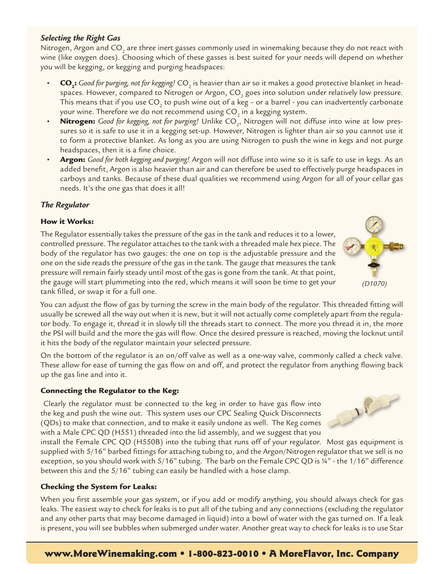# you will be kegging, or kegging and purging headspaces:

 $\cdot$   $\cdot$   $\cdot$  **CO**<sub>2</sub>: Good for purging, not for kegging! CO<sub>2</sub> is heavier than air so it makes a good protective blanket in headspaces. However, compared to Nitrogen or Argon, CO<sub>2</sub> goes into solution under relatively low pressure. This means that if you use CO<sub>2</sub> to push wine out of a keg - or a barrel - you can inadvertently carbonate your wine. Therefore we do not recommend using  $CO<sub>2</sub>$  in a kegging system.

Nitrogen, Argon and CO<sub>2</sub> are three inert gasses commonly used in winemaking because they do not react with wine (like oxygen does). Choosing which of these gasses is best suited for your needs will depend on whether

- **Nitrogen:** Good for kegging, not for purging! Unlike CO<sub>2</sub>, Nitrogen will not diffuse into wine at low pressures so it is safe to use it in a kegging set-up. However, Nitrogen is lighter than air so you cannot use it to form a protective blanket. As long as you are using Nitrogen to push the wine in kegs and not purge headspaces, then it is a fine choice.
- Argon: *Good for both kegging and purging!* Argon will not diffuse into wine so it is safe to use in kegs. As an added benefit, Argon is also heavier than air and can therefore be used to effectively purge headspaces in carboys and tanks. Because of these dual qualities we recommend using Argon for all of your cellar gas needs. It's the one gas that does it all!

#### *The Regulator*

#### How it Works:

The Regulator essentially takes the pressure of the gas in the tank and reduces it to a lower, controlled pressure. The regulator attaches to the tank with a threaded male hex piece. The body of the regulator has two gauges: the one on top is the adjustable pressure and the one on the side reads the pressure of the gas in the tank. The gauge that measures the tank pressure will remain fairly steady until most of the gas is gone from the tank. At that point, the gauge will start plummeting into the red, which means it will soon be time to get your tank filled, or swap it for a full one.

You can adjust the flow of gas by turning the screw in the main body of the regulator. This threaded fitting will usually be screwed all the way out when it is new, but it will not actually come completely apart from the regulator body. To engage it, thread it in slowly till the threads start to connect. The more you thread it in, the more the PSI will build and the more the gas will flow. Once the desired pressure is reached, moving the locknut until it hits the body of the regulator maintain your selected pressure.

On the bottom of the regulator is an on/off valve as well as a one-way valve, commonly called a check valve. These allow for ease of turning the gas flow on and off, and protect the regulator from anything flowing back up the gas line and into it.

#### Connecting the Regulator to the Keg:

Clearly the regulator must be connected to the keg in order to have gas flow into the keg and push the wine out. This system uses our CPC Sealing Quick Disconnects (QDs) to make that connection, and to make it easily undone as well. The Keg comes with a Male CPC QD (H551) threaded into the lid assembly, and we suggest that you

install the Female CPC QD (H550B) into the tubing that runs off of your regulator. Most gas equipment is supplied with 5/16" barbed fittings for attaching tubing to, and the Argon/Nitrogen regulator that we sell is no exception, so you should work with 5/16" tubing. The barb on the Female CPC QD is 14" - the 1/16" difference between this and the 5/16" tubing can easily be handled with a hose clamp.

#### Checking the System for Leaks:

When you first assemble your gas system, or if you add or modify anything, you should always check for gas leaks. The easiest way to check for leaks is to put all of the tubing and any connections (excluding the regulator and any other parts that may become damaged in liquid) into a bowl of water with the gas turned on. If a leak is present, you will see bubbles when submerged under water. Another great way to check for leaks is to use Star

#### *Selecting the Right Gas*



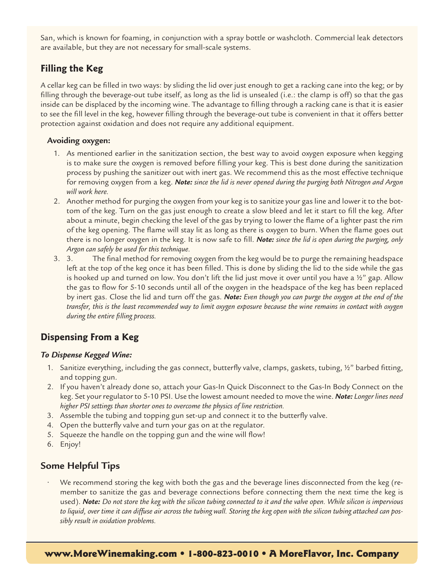San, which is known for foaming, in conjunction with a spray bottle or washcloth. Commercial leak detectors are available, but they are not necessary for small-scale systems.

# **Filling the Keg**

A cellar keg can be filled in two ways: by sliding the lid over just enough to get a racking cane into the keg; or by filling through the beverage-out tube itself, as long as the lid is unsealed (i.e.: the clamp is off) so that the gas inside can be displaced by the incoming wine. The advantage to filling through a racking cane is that it is easier to see the fill level in the keg, however filling through the beverage-out tube is convenient in that it offers better protection against oxidation and does not require any additional equipment.

## **Avoiding oxygen:**

- 1. As mentioned earlier in the sanitization section, the best way to avoid oxygen exposure when kegging is to make sure the oxygen is removed before filling your keg. This is best done during the sanitization process by pushing the sanitizer out with inert gas. We recommend this as the most effective technique for removing oxygen from a keg. *Note: since the lid is never opened during the purging both Nitrogen and Argon will work here.*
- 2. Another method for purging the oxygen from your keg is to sanitize your gas line and lower it to the bottom of the keg. Turn on the gas just enough to create a slow bleed and let it start to fill the keg. After about a minute, begin checking the level of the gas by trying to lower the flame of a lighter past the rim of the keg opening. The flame will stay lit as long as there is oxygen to burn. When the flame goes out there is no longer oxygen in the keg. It is now safe to fill. *Note: since the lid is open during the purging, only Argon can safely be used for this technique.*
- 3. 3. The final method for removing oxygen from the keg would be to purge the remaining headspace left at the top of the keg once it has been filled. This is done by sliding the lid to the side while the gas is hooked up and turned on low. You don't lift the lid just move it over until you have a  $\chi^2$  gap. Allow the gas to flow for 5-10 seconds until all of the oxygen in the headspace of the keg has been replaced by inert gas. Close the lid and turn off the gas. *Note: Even though you can purge the oxygen at the end of the transfer, this is the least recommended way to limit oxygen exposure because the wine remains in contact with oxygen during the entire filling process.*

# **Dispensing From a Keg**

## *To Dispense Kegged Wine:*

- 1. Sanitize everything, including the gas connect, butterfly valve, clamps, gaskets, tubing, ½" barbed fitting, and topping gun.
- 2. If you haven't already done so, attach your Gas-In Quick Disconnect to the Gas-In Body Connect on the keg. Set your regulator to 5-10 PSI. Use the lowest amount needed to move the wine. *Note: Longer lines need higher PSI settings than shorter ones to overcome the physics of line restriction.*
- 3. Assemble the tubing and topping gun set-up and connect it to the butterfly valve.
- 4. Open the butterfly valve and turn your gas on at the regulator.
- 5. Squeeze the handle on the topping gun and the wine will flow!
- 6. Enjoy!

# **Some Helpful Tips**

We recommend storing the keg with both the gas and the beverage lines disconnected from the keg (remember to sanitize the gas and beverage connections before connecting them the next time the keg is used). *Note: Do not store the keg with the silicon tubing connected to it and the valve open. While silicon is impervious to liquid, over time it can diffuse air across the tubing wall. Storing the keg open with the silicon tubing attached can possibly result in oxidation problems.*